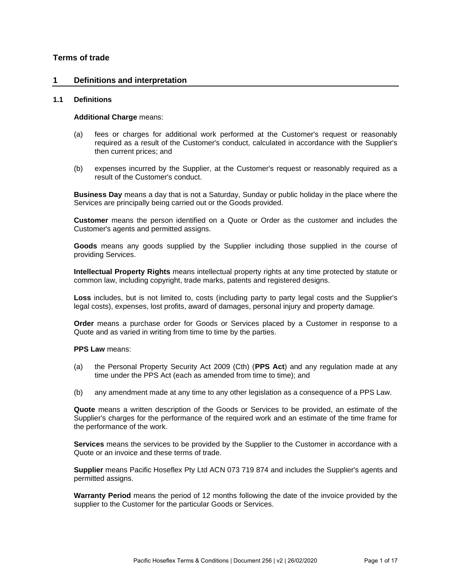# **Terms of trade**

### **1 Definitions and interpretation**

#### **1.1 Definitions**

#### **Additional Charge** means:

- (a) fees or charges for additional work performed at the Customer's request or reasonably required as a result of the Customer's conduct, calculated in accordance with the Supplier's then current prices; and
- (b) expenses incurred by the Supplier, at the Customer's request or reasonably required as a result of the Customer's conduct.

**Business Day** means a day that is not a Saturday, Sunday or public holiday in the place where the Services are principally being carried out or the Goods provided.

**Customer** means the person identified on a Quote or Order as the customer and includes the Customer's agents and permitted assigns.

**Goods** means any goods supplied by the Supplier including those supplied in the course of providing Services.

**Intellectual Property Rights** means intellectual property rights at any time protected by statute or common law, including copyright, trade marks, patents and registered designs.

**Loss** includes, but is not limited to, costs (including party to party legal costs and the Supplier's legal costs), expenses, lost profits, award of damages, personal injury and property damage.

**Order** means a purchase order for Goods or Services placed by a Customer in response to a Quote and as varied in writing from time to time by the parties.

**PPS Law** means:

- (a) the Personal Property Security Act 2009 (Cth) (**PPS Act**) and any regulation made at any time under the PPS Act (each as amended from time to time); and
- (b) any amendment made at any time to any other legislation as a consequence of a PPS Law.

**Quote** means a written description of the Goods or Services to be provided, an estimate of the Supplier's charges for the performance of the required work and an estimate of the time frame for the performance of the work.

**Services** means the services to be provided by the Supplier to the Customer in accordance with a Quote or an invoice and these terms of trade.

**Supplier** means Pacific Hoseflex Pty Ltd ACN 073 719 874 and includes the Supplier's agents and permitted assigns.

**Warranty Period** means the period of 12 months following the date of the invoice provided by the supplier to the Customer for the particular Goods or Services.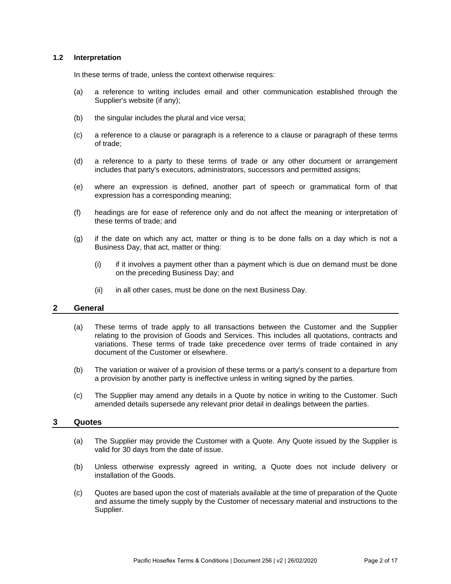### **1.2 Interpretation**

In these terms of trade, unless the context otherwise requires:

- (a) a reference to writing includes email and other communication established through the Supplier's website (if any);
- (b) the singular includes the plural and vice versa;
- (c) a reference to a clause or paragraph is a reference to a clause or paragraph of these terms of trade;
- (d) a reference to a party to these terms of trade or any other document or arrangement includes that party's executors, administrators, successors and permitted assigns;
- (e) where an expression is defined, another part of speech or grammatical form of that expression has a corresponding meaning;
- (f) headings are for ease of reference only and do not affect the meaning or interpretation of these terms of trade; and
- (g) if the date on which any act, matter or thing is to be done falls on a day which is not a Business Day, that act, matter or thing:
	- $(i)$  if it involves a payment other than a payment which is due on demand must be done on the preceding Business Day; and
	- (ii) in all other cases, must be done on the next Business Day.

# **2 General**

- (a) These terms of trade apply to all transactions between the Customer and the Supplier relating to the provision of Goods and Services. This includes all quotations, contracts and variations. These terms of trade take precedence over terms of trade contained in any document of the Customer or elsewhere.
- (b) The variation or waiver of a provision of these terms or a party's consent to a departure from a provision by another party is ineffective unless in writing signed by the parties.
- (c) The Supplier may amend any details in a Quote by notice in writing to the Customer. Such amended details supersede any relevant prior detail in dealings between the parties.

# **3 Quotes**

- (a) The Supplier may provide the Customer with a Quote. Any Quote issued by the Supplier is valid for 30 days from the date of issue.
- (b) Unless otherwise expressly agreed in writing, a Quote does not include delivery or installation of the Goods.
- (c) Quotes are based upon the cost of materials available at the time of preparation of the Quote and assume the timely supply by the Customer of necessary material and instructions to the Supplier.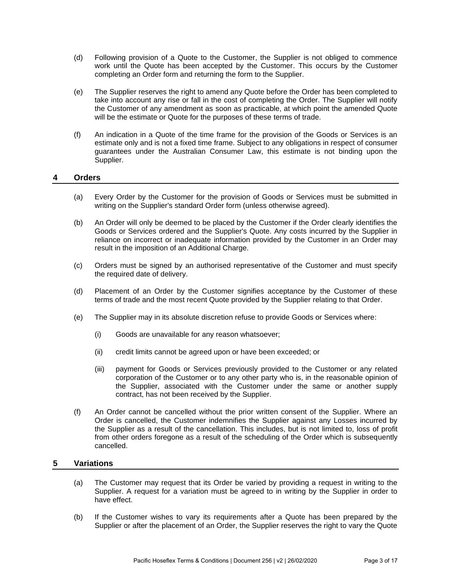- (d) Following provision of a Quote to the Customer, the Supplier is not obliged to commence work until the Quote has been accepted by the Customer. This occurs by the Customer completing an Order form and returning the form to the Supplier.
- (e) The Supplier reserves the right to amend any Quote before the Order has been completed to take into account any rise or fall in the cost of completing the Order. The Supplier will notify the Customer of any amendment as soon as practicable, at which point the amended Quote will be the estimate or Quote for the purposes of these terms of trade.
- (f) An indication in a Quote of the time frame for the provision of the Goods or Services is an estimate only and is not a fixed time frame. Subject to any obligations in respect of consumer guarantees under the Australian Consumer Law, this estimate is not binding upon the Supplier.

## **4 Orders**

- (a) Every Order by the Customer for the provision of Goods or Services must be submitted in writing on the Supplier's standard Order form (unless otherwise agreed).
- (b) An Order will only be deemed to be placed by the Customer if the Order clearly identifies the Goods or Services ordered and the Supplier's Quote. Any costs incurred by the Supplier in reliance on incorrect or inadequate information provided by the Customer in an Order may result in the imposition of an Additional Charge.
- (c) Orders must be signed by an authorised representative of the Customer and must specify the required date of delivery.
- (d) Placement of an Order by the Customer signifies acceptance by the Customer of these terms of trade and the most recent Quote provided by the Supplier relating to that Order.
- (e) The Supplier may in its absolute discretion refuse to provide Goods or Services where:
	- (i) Goods are unavailable for any reason whatsoever;
	- (ii) credit limits cannot be agreed upon or have been exceeded; or
	- (iii) payment for Goods or Services previously provided to the Customer or any related corporation of the Customer or to any other party who is, in the reasonable opinion of the Supplier, associated with the Customer under the same or another supply contract, has not been received by the Supplier.
- (f) An Order cannot be cancelled without the prior written consent of the Supplier. Where an Order is cancelled, the Customer indemnifies the Supplier against any Losses incurred by the Supplier as a result of the cancellation. This includes, but is not limited to, loss of profit from other orders foregone as a result of the scheduling of the Order which is subsequently cancelled.

### **5 Variations**

- (a) The Customer may request that its Order be varied by providing a request in writing to the Supplier. A request for a variation must be agreed to in writing by the Supplier in order to have effect.
- (b) If the Customer wishes to vary its requirements after a Quote has been prepared by the Supplier or after the placement of an Order, the Supplier reserves the right to vary the Quote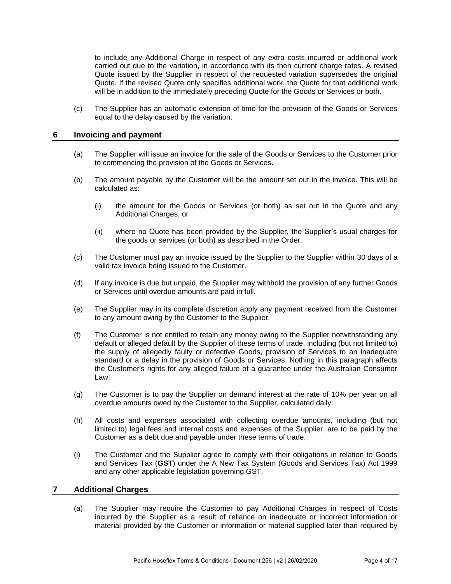to include any Additional Charge in respect of any extra costs incurred or additional work carried out due to the variation, in accordance with its then current charge rates. A revised Quote issued by the Supplier in respect of the requested variation supersedes the original Quote. If the revised Quote only specifies additional work, the Quote for that additional work will be in addition to the immediately preceding Quote for the Goods or Services or both.

(c) The Supplier has an automatic extension of time for the provision of the Goods or Services equal to the delay caused by the variation.

## **6 Invoicing and payment**

- (a) The Supplier will issue an invoice for the sale of the Goods or Services to the Customer prior to commencing the provision of the Goods or Services.
- (b) The amount payable by the Customer will be the amount set out in the invoice. This will be calculated as:
	- (i) the amount for the Goods or Services (or both) as set out in the Quote and any Additional Charges, or
	- (ii) where no Quote has been provided by the Supplier, the Supplier's usual charges for the goods or services (or both) as described in the Order.
- (c) The Customer must pay an invoice issued by the Supplier to the Supplier within 30 days of a valid tax invoice being issued to the Customer.
- (d) If any invoice is due but unpaid, the Supplier may withhold the provision of any further Goods or Services until overdue amounts are paid in full.
- (e) The Supplier may in its complete discretion apply any payment received from the Customer to any amount owing by the Customer to the Supplier.
- (f) The Customer is not entitled to retain any money owing to the Supplier notwithstanding any default or alleged default by the Supplier of these terms of trade, including (but not limited to) the supply of allegedly faulty or defective Goods, provision of Services to an inadequate standard or a delay in the provision of Goods or Services. Nothing in this paragraph affects the Customer's rights for any alleged failure of a guarantee under the Australian Consumer Law.
- (g) The Customer is to pay the Supplier on demand interest at the rate of 10% per year on all overdue amounts owed by the Customer to the Supplier, calculated daily.
- (h) All costs and expenses associated with collecting overdue amounts, including (but not limited to) legal fees and internal costs and expenses of the Supplier, are to be paid by the Customer as a debt due and payable under these terms of trade.
- (i) The Customer and the Supplier agree to comply with their obligations in relation to Goods and Services Tax (**GST**) under the A New Tax System (Goods and Services Tax) Act 1999 and any other applicable legislation governing GST.

### **7 Additional Charges**

(a) The Supplier may require the Customer to pay Additional Charges in respect of Costs incurred by the Supplier as a result of reliance on inadequate or incorrect information or material provided by the Customer or information or material supplied later than required by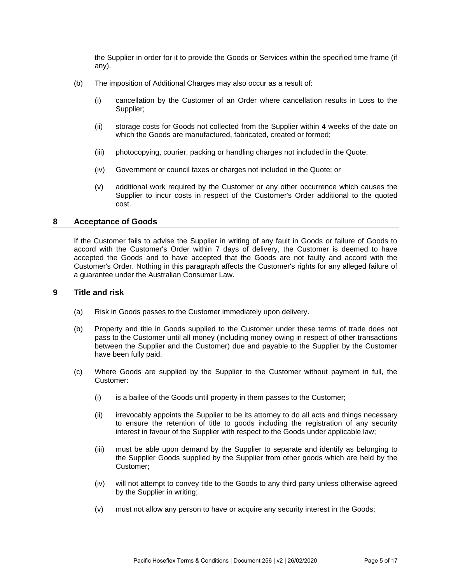the Supplier in order for it to provide the Goods or Services within the specified time frame (if any).

- (b) The imposition of Additional Charges may also occur as a result of:
	- (i) cancellation by the Customer of an Order where cancellation results in Loss to the Supplier;
	- (ii) storage costs for Goods not collected from the Supplier within 4 weeks of the date on which the Goods are manufactured, fabricated, created or formed;
	- (iii) photocopying, courier, packing or handling charges not included in the Quote;
	- (iv) Government or council taxes or charges not included in the Quote; or
	- (v) additional work required by the Customer or any other occurrence which causes the Supplier to incur costs in respect of the Customer's Order additional to the quoted cost.

## **8 Acceptance of Goods**

If the Customer fails to advise the Supplier in writing of any fault in Goods or failure of Goods to accord with the Customer's Order within 7 days of delivery, the Customer is deemed to have accepted the Goods and to have accepted that the Goods are not faulty and accord with the Customer's Order. Nothing in this paragraph affects the Customer's rights for any alleged failure of a guarantee under the Australian Consumer Law.

### **9 Title and risk**

- (a) Risk in Goods passes to the Customer immediately upon delivery.
- (b) Property and title in Goods supplied to the Customer under these terms of trade does not pass to the Customer until all money (including money owing in respect of other transactions between the Supplier and the Customer) due and payable to the Supplier by the Customer have been fully paid.
- <span id="page-4-0"></span>(c) Where Goods are supplied by the Supplier to the Customer without payment in full, the Customer:
	- (i) is a bailee of the Goods until property in them passes to the Customer;
	- (ii) irrevocably appoints the Supplier to be its attorney to do all acts and things necessary to ensure the retention of title to goods including the registration of any security interest in favour of the Supplier with respect to the Goods under applicable law;
	- (iii) must be able upon demand by the Supplier to separate and identify as belonging to the Supplier Goods supplied by the Supplier from other goods which are held by the Customer;
	- (iv) will not attempt to convey title to the Goods to any third party unless otherwise agreed by the Supplier in writing;
	- (v) must not allow any person to have or acquire any security interest in the Goods;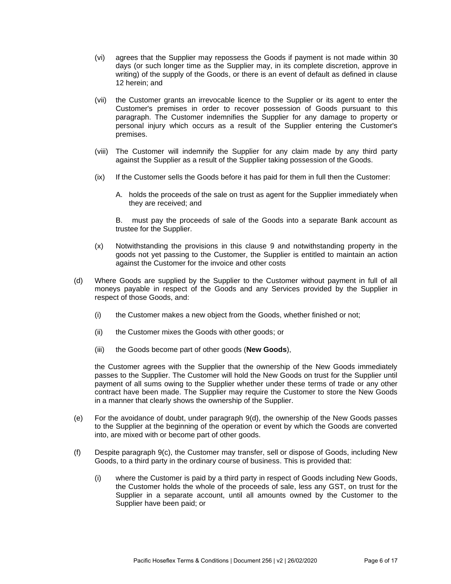- (vi) agrees that the Supplier may repossess the Goods if payment is not made within 30 days (or such longer time as the Supplier may, in its complete discretion, approve in writing) of the supply of the Goods, or there is an event of default as defined in clause 12 herein; and
- (vii) the Customer grants an irrevocable licence to the Supplier or its agent to enter the Customer's premises in order to recover possession of Goods pursuant to this paragraph. The Customer indemnifies the Supplier for any damage to property or personal injury which occurs as a result of the Supplier entering the Customer's premises.
- (viii) The Customer will indemnify the Supplier for any claim made by any third party against the Supplier as a result of the Supplier taking possession of the Goods.
- (ix) If the Customer sells the Goods before it has paid for them in full then the Customer:
	- A. holds the proceeds of the sale on trust as agent for the Supplier immediately when they are received; and

B. must pay the proceeds of sale of the Goods into a separate Bank account as trustee for the Supplier.

- (x) Notwithstanding the provisions in this clause 9 and notwithstanding property in the goods not yet passing to the Customer, the Supplier is entitled to maintain an action against the Customer for the invoice and other costs
- <span id="page-5-0"></span>(d) Where Goods are supplied by the Supplier to the Customer without payment in full of all moneys payable in respect of the Goods and any Services provided by the Supplier in respect of those Goods, and:
	- (i) the Customer makes a new object from the Goods, whether finished or not;
	- (ii) the Customer mixes the Goods with other goods; or
	- (iii) the Goods become part of other goods (**New Goods**),

the Customer agrees with the Supplier that the ownership of the New Goods immediately passes to the Supplier. The Customer will hold the New Goods on trust for the Supplier until payment of all sums owing to the Supplier whether under these terms of trade or any other contract have been made. The Supplier may require the Customer to store the New Goods in a manner that clearly shows the ownership of the Supplier.

- (e) For the avoidance of doubt, under paragraph [9\(d\),](#page-5-0) the ownership of the New Goods passes to the Supplier at the beginning of the operation or event by which the Goods are converted into, are mixed with or become part of other goods.
- (f) Despite paragraph [9\(c\),](#page-4-0) the Customer may transfer, sell or dispose of Goods, including New Goods, to a third party in the ordinary course of business. This is provided that:
	- (i) where the Customer is paid by a third party in respect of Goods including New Goods, the Customer holds the whole of the proceeds of sale, less any GST, on trust for the Supplier in a separate account, until all amounts owned by the Customer to the Supplier have been paid; or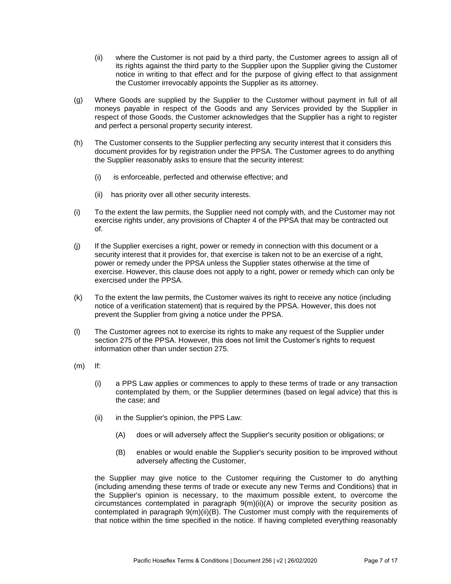- (ii) where the Customer is not paid by a third party, the Customer agrees to assign all of its rights against the third party to the Supplier upon the Supplier giving the Customer notice in writing to that effect and for the purpose of giving effect to that assignment the Customer irrevocably appoints the Supplier as its attorney.
- (g) Where Goods are supplied by the Supplier to the Customer without payment in full of all moneys payable in respect of the Goods and any Services provided by the Supplier in respect of those Goods, the Customer acknowledges that the Supplier has a right to register and perfect a personal property security interest.
- (h) The Customer consents to the Supplier perfecting any security interest that it considers this document provides for by registration under the PPSA. The Customer agrees to do anything the Supplier reasonably asks to ensure that the security interest:
	- (i) is enforceable, perfected and otherwise effective; and
	- (ii) has priority over all other security interests.
- (i) To the extent the law permits, the Supplier need not comply with, and the Customer may not exercise rights under, any provisions of Chapter 4 of the PPSA that may be contracted out of.
- (j) If the Supplier exercises a right, power or remedy in connection with this document or a security interest that it provides for, that exercise is taken not to be an exercise of a right, power or remedy under the PPSA unless the Supplier states otherwise at the time of exercise. However, this clause does not apply to a right, power or remedy which can only be exercised under the PPSA.
- (k) To the extent the law permits, the Customer waives its right to receive any notice (including notice of a verification statement) that is required by the PPSA. However, this does not prevent the Supplier from giving a notice under the PPSA.
- (l) The Customer agrees not to exercise its rights to make any request of the Supplier under section 275 of the PPSA. However, this does not limit the Customer's rights to request information other than under section 275.
- (m) If:
	- (i) a PPS Law applies or commences to apply to these terms of trade or any transaction contemplated by them, or the Supplier determines (based on legal advice) that this is the case; and
	- (ii) in the Supplier's opinion, the PPS Law:
		- (A) does or will adversely affect the Supplier's security position or obligations; or
		- (B) enables or would enable the Supplier's security position to be improved without adversely affecting the Customer,

<span id="page-6-1"></span><span id="page-6-0"></span>the Supplier may give notice to the Customer requiring the Customer to do anything (including amending these terms of trade or execute any new Terms and Conditions) that in the Supplier's opinion is necessary, to the maximum possible extent, to overcome the circumstances contemplated in paragraph  $9(m)(ii)(A)$  or improve the security position as contemplated in paragraph [9\(m\)\(ii\)\(B\).](#page-6-1) The Customer must comply with the requirements of that notice within the time specified in the notice. If having completed everything reasonably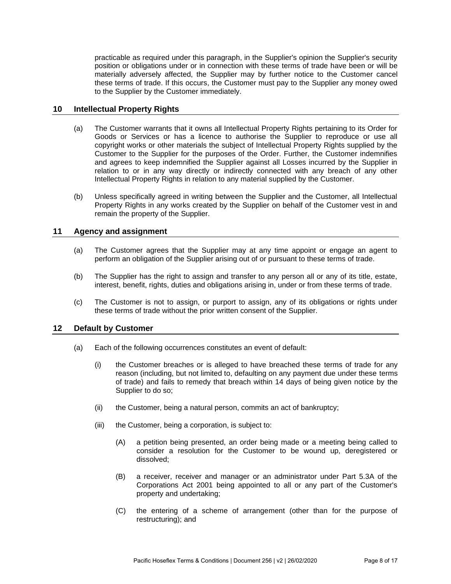practicable as required under this paragraph, in the Supplier's opinion the Supplier's security position or obligations under or in connection with these terms of trade have been or will be materially adversely affected, the Supplier may by further notice to the Customer cancel these terms of trade. If this occurs, the Customer must pay to the Supplier any money owed to the Supplier by the Customer immediately.

## **10 Intellectual Property Rights**

- (a) The Customer warrants that it owns all Intellectual Property Rights pertaining to its Order for Goods or Services or has a licence to authorise the Supplier to reproduce or use all copyright works or other materials the subject of Intellectual Property Rights supplied by the Customer to the Supplier for the purposes of the Order. Further, the Customer indemnifies and agrees to keep indemnified the Supplier against all Losses incurred by the Supplier in relation to or in any way directly or indirectly connected with any breach of any other Intellectual Property Rights in relation to any material supplied by the Customer.
- (b) Unless specifically agreed in writing between the Supplier and the Customer, all Intellectual Property Rights in any works created by the Supplier on behalf of the Customer vest in and remain the property of the Supplier.

## **11 Agency and assignment**

- (a) The Customer agrees that the Supplier may at any time appoint or engage an agent to perform an obligation of the Supplier arising out of or pursuant to these terms of trade.
- (b) The Supplier has the right to assign and transfer to any person all or any of its title, estate, interest, benefit, rights, duties and obligations arising in, under or from these terms of trade.
- (c) The Customer is not to assign, or purport to assign, any of its obligations or rights under these terms of trade without the prior written consent of the Supplier.

### **12 Default by Customer**

- (a) Each of the following occurrences constitutes an event of default:
	- (i) the Customer breaches or is alleged to have breached these terms of trade for any reason (including, but not limited to, defaulting on any payment due under these terms of trade) and fails to remedy that breach within 14 days of being given notice by the Supplier to do so;
	- (ii) the Customer, being a natural person, commits an act of bankruptcy;
	- (iii) the Customer, being a corporation, is subject to:
		- (A) a petition being presented, an order being made or a meeting being called to consider a resolution for the Customer to be wound up, deregistered or dissolved;
		- (B) a receiver, receiver and manager or an administrator under Part 5.3A of the Corporations Act 2001 being appointed to all or any part of the Customer's property and undertaking;
		- (C) the entering of a scheme of arrangement (other than for the purpose of restructuring); and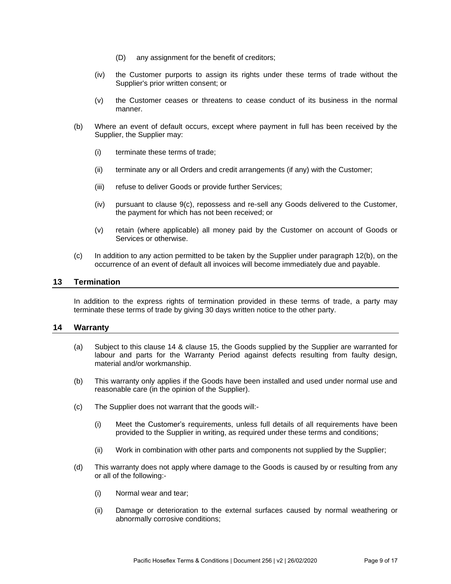- (D) any assignment for the benefit of creditors;
- (iv) the Customer purports to assign its rights under these terms of trade without the Supplier's prior written consent; or
- (v) the Customer ceases or threatens to cease conduct of its business in the normal manner.
- <span id="page-8-0"></span>(b) Where an event of default occurs, except where payment in full has been received by the Supplier, the Supplier may:
	- (i) terminate these terms of trade;
	- (ii) terminate any or all Orders and credit arrangements (if any) with the Customer;
	- (iii) refuse to deliver Goods or provide further Services;
	- (iv) pursuant to clause [9\(c\),](#page-4-0) repossess and re-sell any Goods delivered to the Customer, the payment for which has not been received; or
	- (v) retain (where applicable) all money paid by the Customer on account of Goods or Services or otherwise.
- (c) In addition to any action permitted to be taken by the Supplier under paragraph [12\(b\),](#page-8-0) on the occurrence of an event of default all invoices will become immediately due and payable.

## **13 Termination**

In addition to the express rights of termination provided in these terms of trade, a party may terminate these terms of trade by giving 30 days written notice to the other party.

### **14 Warranty**

- (a) Subject to this clause 14 & clause 15, the Goods supplied by the Supplier are warranted for labour and parts for the Warranty Period against defects resulting from faulty design, material and/or workmanship.
- (b) This warranty only applies if the Goods have been installed and used under normal use and reasonable care (in the opinion of the Supplier).
- (c) The Supplier does not warrant that the goods will:-
	- (i) Meet the Customer's requirements, unless full details of all requirements have been provided to the Supplier in writing, as required under these terms and conditions;
	- (ii) Work in combination with other parts and components not supplied by the Supplier;
- (d) This warranty does not apply where damage to the Goods is caused by or resulting from any or all of the following:-
	- (i) Normal wear and tear;
	- (ii) Damage or deterioration to the external surfaces caused by normal weathering or abnormally corrosive conditions;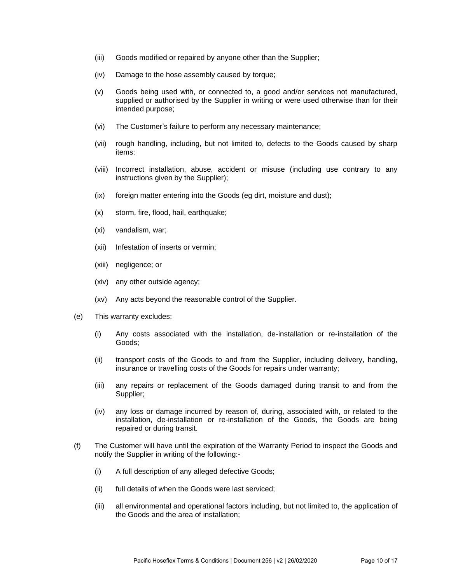- (iii) Goods modified or repaired by anyone other than the Supplier;
- (iv) Damage to the hose assembly caused by torque;
- (v) Goods being used with, or connected to, a good and/or services not manufactured, supplied or authorised by the Supplier in writing or were used otherwise than for their intended purpose;
- (vi) The Customer's failure to perform any necessary maintenance;
- (vii) rough handling, including, but not limited to, defects to the Goods caused by sharp items:
- (viii) Incorrect installation, abuse, accident or misuse (including use contrary to any instructions given by the Supplier);
- (ix) foreign matter entering into the Goods (eg dirt, moisture and dust);
- (x) storm, fire, flood, hail, earthquake;
- (xi) vandalism, war;
- (xii) Infestation of inserts or vermin;
- (xiii) negligence; or
- (xiv) any other outside agency;
- (xv) Any acts beyond the reasonable control of the Supplier.
- (e) This warranty excludes:
	- (i) Any costs associated with the installation, de-installation or re-installation of the Goods;
	- (ii) transport costs of the Goods to and from the Supplier, including delivery, handling, insurance or travelling costs of the Goods for repairs under warranty;
	- (iii) any repairs or replacement of the Goods damaged during transit to and from the Supplier;
	- (iv) any loss or damage incurred by reason of, during, associated with, or related to the installation, de-installation or re-installation of the Goods, the Goods are being repaired or during transit.
- (f) The Customer will have until the expiration of the Warranty Period to inspect the Goods and notify the Supplier in writing of the following:-
	- (i) A full description of any alleged defective Goods;
	- (ii) full details of when the Goods were last serviced;
	- (iii) all environmental and operational factors including, but not limited to, the application of the Goods and the area of installation;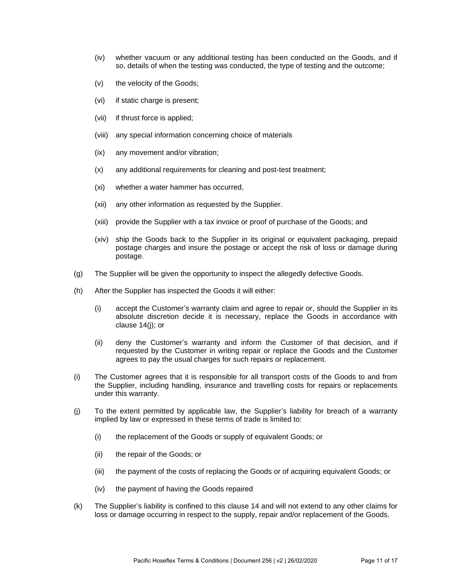- (iv) whether vacuum or any additional testing has been conducted on the Goods, and if so, details of when the testing was conducted, the type of testing and the outcome;
- (v) the velocity of the Goods;
- (vi) if static charge is present;
- (vii) if thrust force is applied;
- (viii) any special information concerning choice of materials
- (ix) any movement and/or vibration;
- (x) any additional requirements for cleaning and post-test treatment;
- (xi) whether a water hammer has occurred,
- (xii) any other information as requested by the Supplier.
- (xiii) provide the Supplier with a tax invoice or proof of purchase of the Goods; and
- (xiv) ship the Goods back to the Supplier in its original or equivalent packaging, prepaid postage charges and insure the postage or accept the risk of loss or damage during postage.
- (g) The Supplier will be given the opportunity to inspect the allegedly defective Goods.
- (h) After the Supplier has inspected the Goods it will either:
	- (i) accept the Customer's warranty claim and agree to repair or, should the Supplier in its absolute discretion decide it is necessary, replace the Goods in accordance with clause 14(j); or
	- (ii) deny the Customer's warranty and inform the Customer of that decision, and if requested by the Customer in writing repair or replace the Goods and the Customer agrees to pay the usual charges for such repairs or replacement.
- (i) The Customer agrees that it is responsible for all transport costs of the Goods to and from the Supplier, including handling, insurance and travelling costs for repairs or replacements under this warranty.
- (j) To the extent permitted by applicable law, the Supplier's liability for breach of a warranty implied by law or expressed in these terms of trade is limited to:
	- (i) the replacement of the Goods or supply of equivalent Goods; or
	- (ii) the repair of the Goods; or
	- (iii) the payment of the costs of replacing the Goods or of acquiring equivalent Goods; or
	- (iv) the payment of having the Goods repaired
- (k) The Supplier's liability is confined to this clause 14 and will not extend to any other claims for loss or damage occurring in respect to the supply, repair and/or replacement of the Goods.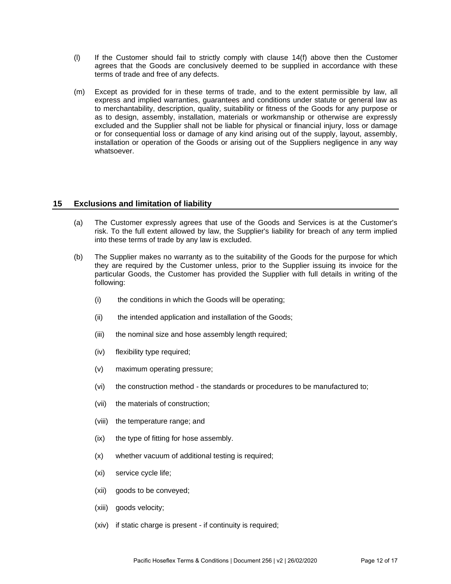- (l) If the Customer should fail to strictly comply with clause 14(f) above then the Customer agrees that the Goods are conclusively deemed to be supplied in accordance with these terms of trade and free of any defects.
- (m) Except as provided for in these terms of trade, and to the extent permissible by law, all express and implied warranties, guarantees and conditions under statute or general law as to merchantability, description, quality, suitability or fitness of the Goods for any purpose or as to design, assembly, installation, materials or workmanship or otherwise are expressly excluded and the Supplier shall not be liable for physical or financial injury, loss or damage or for consequential loss or damage of any kind arising out of the supply, layout, assembly, installation or operation of the Goods or arising out of the Suppliers negligence in any way whatsoever.

# **15 Exclusions and limitation of liability**

- (a) The Customer expressly agrees that use of the Goods and Services is at the Customer's risk. To the full extent allowed by law, the Supplier's liability for breach of any term implied into these terms of trade by any law is excluded.
- (b) The Supplier makes no warranty as to the suitability of the Goods for the purpose for which they are required by the Customer unless, prior to the Supplier issuing its invoice for the particular Goods, the Customer has provided the Supplier with full details in writing of the following:
	- (i) the conditions in which the Goods will be operating;
	- (ii) the intended application and installation of the Goods;
	- (iii) the nominal size and hose assembly length required;
	- (iv) flexibility type required;
	- (v) maximum operating pressure;
	- (vi) the construction method the standards or procedures to be manufactured to;
	- (vii) the materials of construction;
	- (viii) the temperature range; and
	- (ix) the type of fitting for hose assembly.
	- (x) whether vacuum of additional testing is required;
	- (xi) service cycle life;
	- (xii) goods to be conveyed;
	- (xiii) goods velocity;
	- (xiv) if static charge is present if continuity is required;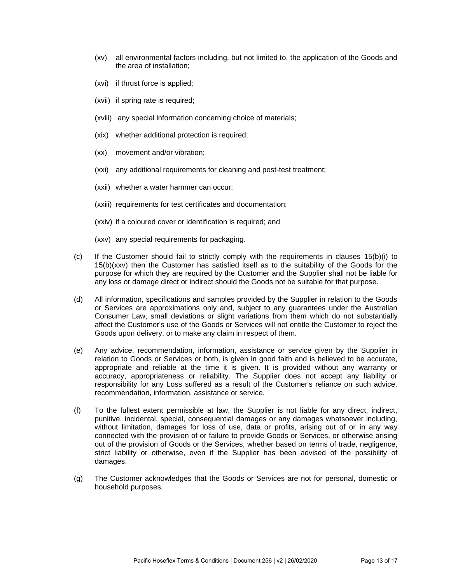- (xv) all environmental factors including, but not limited to, the application of the Goods and the area of installation;
- (xvi) if thrust force is applied;
- (xvii) if spring rate is required;
- (xviii) any special information concerning choice of materials;
- (xix) whether additional protection is required;
- (xx) movement and/or vibration;
- (xxi) any additional requirements for cleaning and post-test treatment;
- (xxii) whether a water hammer can occur;
- (xxiii) requirements for test certificates and documentation;
- (xxiv) if a coloured cover or identification is required; and
- (xxv) any special requirements for packaging.
- (c) If the Customer should fail to strictly comply with the requirements in clauses 15(b)(i) to 15(b)(xxv) then the Customer has satisfied itself as to the suitability of the Goods for the purpose for which they are required by the Customer and the Supplier shall not be liable for any loss or damage direct or indirect should the Goods not be suitable for that purpose.
- (d) All information, specifications and samples provided by the Supplier in relation to the Goods or Services are approximations only and, subject to any guarantees under the Australian Consumer Law, small deviations or slight variations from them which do not substantially affect the Customer's use of the Goods or Services will not entitle the Customer to reject the Goods upon delivery, or to make any claim in respect of them.
- (e) Any advice, recommendation, information, assistance or service given by the Supplier in relation to Goods or Services or both, is given in good faith and is believed to be accurate, appropriate and reliable at the time it is given. It is provided without any warranty or accuracy, appropriateness or reliability. The Supplier does not accept any liability or responsibility for any Loss suffered as a result of the Customer's reliance on such advice, recommendation, information, assistance or service.
- (f) To the fullest extent permissible at law, the Supplier is not liable for any direct, indirect, punitive, incidental, special, consequential damages or any damages whatsoever including, without limitation, damages for loss of use, data or profits, arising out of or in any way connected with the provision of or failure to provide Goods or Services, or otherwise arising out of the provision of Goods or the Services, whether based on terms of trade, negligence, strict liability or otherwise, even if the Supplier has been advised of the possibility of damages.
- (g) The Customer acknowledges that the Goods or Services are not for personal, domestic or household purposes.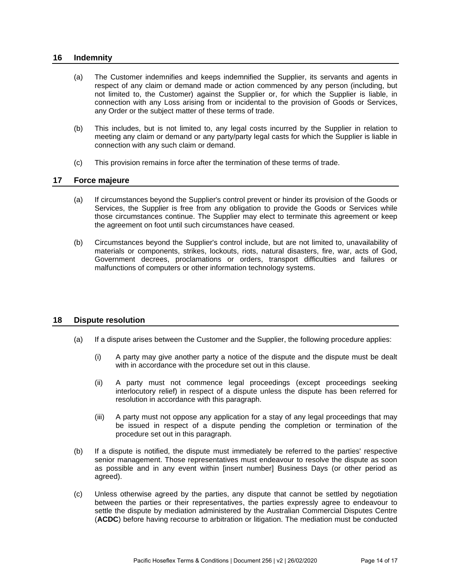### **16 Indemnity**

- (a) The Customer indemnifies and keeps indemnified the Supplier, its servants and agents in respect of any claim or demand made or action commenced by any person (including, but not limited to, the Customer) against the Supplier or, for which the Supplier is liable, in connection with any Loss arising from or incidental to the provision of Goods or Services, any Order or the subject matter of these terms of trade.
- (b) This includes, but is not limited to, any legal costs incurred by the Supplier in relation to meeting any claim or demand or any party/party legal casts for which the Supplier is liable in connection with any such claim or demand.
- (c) This provision remains in force after the termination of these terms of trade.

### **17 Force majeure**

- (a) If circumstances beyond the Supplier's control prevent or hinder its provision of the Goods or Services, the Supplier is free from any obligation to provide the Goods or Services while those circumstances continue. The Supplier may elect to terminate this agreement or keep the agreement on foot until such circumstances have ceased.
- (b) Circumstances beyond the Supplier's control include, but are not limited to, unavailability of materials or components, strikes, lockouts, riots, natural disasters, fire, war, acts of God, Government decrees, proclamations or orders, transport difficulties and failures or malfunctions of computers or other information technology systems.

### **18 Dispute resolution**

- (a) If a dispute arises between the Customer and the Supplier, the following procedure applies:
	- (i) A party may give another party a notice of the dispute and the dispute must be dealt with in accordance with the procedure set out in this clause.
	- (ii) A party must not commence legal proceedings (except proceedings seeking interlocutory relief) in respect of a dispute unless the dispute has been referred for resolution in accordance with this paragraph.
	- (iii) A party must not oppose any application for a stay of any legal proceedings that may be issued in respect of a dispute pending the completion or termination of the procedure set out in this paragraph.
- (b) If a dispute is notified, the dispute must immediately be referred to the parties' respective senior management. Those representatives must endeavour to resolve the dispute as soon as possible and in any event within [insert number] Business Days (or other period as agreed).
- (c) Unless otherwise agreed by the parties, any dispute that cannot be settled by negotiation between the parties or their representatives, the parties expressly agree to endeavour to settle the dispute by mediation administered by the Australian Commercial Disputes Centre (**ACDC**) before having recourse to arbitration or litigation. The mediation must be conducted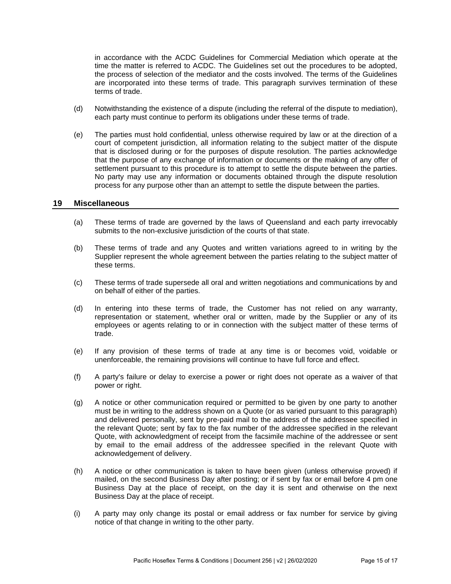in accordance with the ACDC Guidelines for Commercial Mediation which operate at the time the matter is referred to ACDC. The Guidelines set out the procedures to be adopted, the process of selection of the mediator and the costs involved. The terms of the Guidelines are incorporated into these terms of trade. This paragraph survives termination of these terms of trade.

- (d) Notwithstanding the existence of a dispute (including the referral of the dispute to mediation), each party must continue to perform its obligations under these terms of trade.
- (e) The parties must hold confidential, unless otherwise required by law or at the direction of a court of competent jurisdiction, all information relating to the subject matter of the dispute that is disclosed during or for the purposes of dispute resolution. The parties acknowledge that the purpose of any exchange of information or documents or the making of any offer of settlement pursuant to this procedure is to attempt to settle the dispute between the parties. No party may use any information or documents obtained through the dispute resolution process for any purpose other than an attempt to settle the dispute between the parties.

#### **19 Miscellaneous**

- (a) These terms of trade are governed by the laws of Queensland and each party irrevocably submits to the non-exclusive jurisdiction of the courts of that state.
- (b) These terms of trade and any Quotes and written variations agreed to in writing by the Supplier represent the whole agreement between the parties relating to the subject matter of these terms.
- (c) These terms of trade supersede all oral and written negotiations and communications by and on behalf of either of the parties.
- (d) In entering into these terms of trade, the Customer has not relied on any warranty, representation or statement, whether oral or written, made by the Supplier or any of its employees or agents relating to or in connection with the subject matter of these terms of trade.
- (e) If any provision of these terms of trade at any time is or becomes void, voidable or unenforceable, the remaining provisions will continue to have full force and effect.
- (f) A party's failure or delay to exercise a power or right does not operate as a waiver of that power or right.
- (g) A notice or other communication required or permitted to be given by one party to another must be in writing to the address shown on a Quote (or as varied pursuant to this paragraph) and delivered personally, sent by pre-paid mail to the address of the addressee specified in the relevant Quote; sent by fax to the fax number of the addressee specified in the relevant Quote, with acknowledgment of receipt from the facsimile machine of the addressee or sent by email to the email address of the addressee specified in the relevant Quote with acknowledgement of delivery.
- (h) A notice or other communication is taken to have been given (unless otherwise proved) if mailed, on the second Business Day after posting; or if sent by fax or email before 4 pm one Business Day at the place of receipt, on the day it is sent and otherwise on the next Business Day at the place of receipt.
- (i) A party may only change its postal or email address or fax number for service by giving notice of that change in writing to the other party.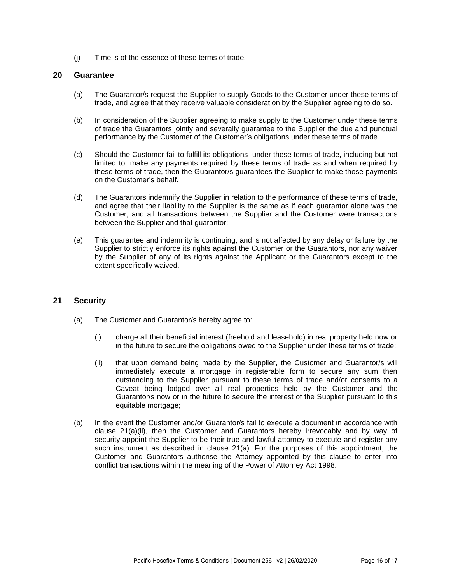(j) Time is of the essence of these terms of trade.

#### **20 Guarantee**

- (a) The Guarantor/s request the Supplier to supply Goods to the Customer under these terms of trade, and agree that they receive valuable consideration by the Supplier agreeing to do so.
- (b) In consideration of the Supplier agreeing to make supply to the Customer under these terms of trade the Guarantors jointly and severally guarantee to the Supplier the due and punctual performance by the Customer of the Customer's obligations under these terms of trade.
- (c) Should the Customer fail to fulfill its obligations under these terms of trade, including but not limited to, make any payments required by these terms of trade as and when required by these terms of trade, then the Guarantor/s guarantees the Supplier to make those payments on the Customer's behalf.
- (d) The Guarantors indemnify the Supplier in relation to the performance of these terms of trade, and agree that their liability to the Supplier is the same as if each guarantor alone was the Customer, and all transactions between the Supplier and the Customer were transactions between the Supplier and that guarantor;
- (e) This guarantee and indemnity is continuing, and is not affected by any delay or failure by the Supplier to strictly enforce its rights against the Customer or the Guarantors, nor any waiver by the Supplier of any of its rights against the Applicant or the Guarantors except to the extent specifically waived.

### **21 Security**

- (a) The Customer and Guarantor/s hereby agree to:
	- (i) charge all their beneficial interest (freehold and leasehold) in real property held now or in the future to secure the obligations owed to the Supplier under these terms of trade;
	- (ii) that upon demand being made by the Supplier, the Customer and Guarantor/s will immediately execute a mortgage in registerable form to secure any sum then outstanding to the Supplier pursuant to these terms of trade and/or consents to a Caveat being lodged over all real properties held by the Customer and the Guarantor/s now or in the future to secure the interest of the Supplier pursuant to this equitable mortgage;
- (b) In the event the Customer and/or Guarantor/s fail to execute a document in accordance with clause 21(a)(ii), then the Customer and Guarantors hereby irrevocably and by way of security appoint the Supplier to be their true and lawful attorney to execute and register any such instrument as described in clause 21(a). For the purposes of this appointment, the Customer and Guarantors authorise the Attorney appointed by this clause to enter into conflict transactions within the meaning of the Power of Attorney Act 1998.